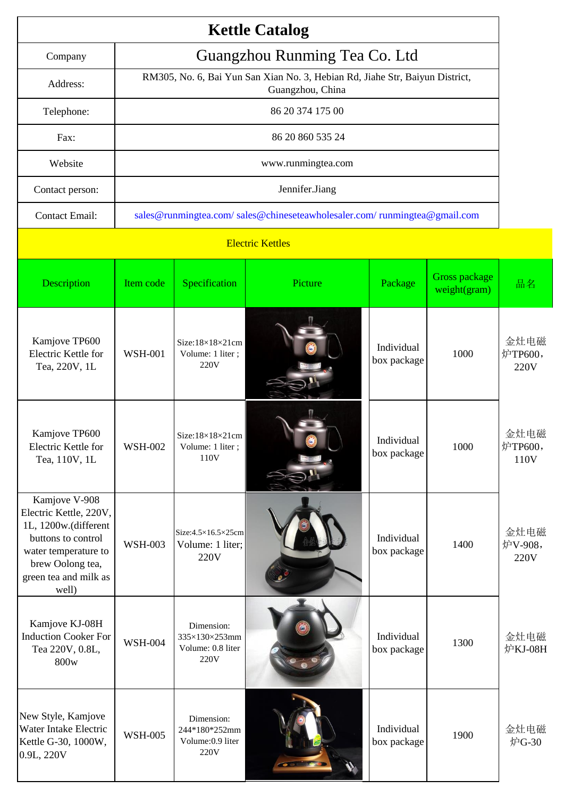|                                                                                                                                                                     |                                                                                                  |                                                                          | <b>Kettle Catalog</b> |                           |                                      |                         |  |  |  |
|---------------------------------------------------------------------------------------------------------------------------------------------------------------------|--------------------------------------------------------------------------------------------------|--------------------------------------------------------------------------|-----------------------|---------------------------|--------------------------------------|-------------------------|--|--|--|
| Guangzhou Runming Tea Co. Ltd<br>Company                                                                                                                            |                                                                                                  |                                                                          |                       |                           |                                      |                         |  |  |  |
| Address:                                                                                                                                                            | RM305, No. 6, Bai Yun San Xian No. 3, Hebian Rd, Jiahe Str, Baiyun District,<br>Guangzhou, China |                                                                          |                       |                           |                                      |                         |  |  |  |
| Telephone:                                                                                                                                                          | 86 20 374 175 00                                                                                 |                                                                          |                       |                           |                                      |                         |  |  |  |
| Fax:                                                                                                                                                                | 86 20 860 535 24                                                                                 |                                                                          |                       |                           |                                      |                         |  |  |  |
| Website                                                                                                                                                             | www.runmingtea.com                                                                               |                                                                          |                       |                           |                                      |                         |  |  |  |
| Contact person:                                                                                                                                                     | Jennifer.Jiang                                                                                   |                                                                          |                       |                           |                                      |                         |  |  |  |
| <b>Contact Email:</b>                                                                                                                                               |                                                                                                  | sales@runmingtea.com/sales@chineseteawholesaler.com/runmingtea@gmail.com |                       |                           |                                      |                         |  |  |  |
| <b>Electric Kettles</b>                                                                                                                                             |                                                                                                  |                                                                          |                       |                           |                                      |                         |  |  |  |
| Description                                                                                                                                                         | Item code                                                                                        | Specification                                                            | Picture               | Package                   | <b>Gross package</b><br>weight(gram) | 品名                      |  |  |  |
| Kamjove TP600<br>Electric Kettle for<br>Tea, 220V, 1L                                                                                                               | <b>WSH-001</b>                                                                                   | $Size:18 \times 18 \times 21$ cm<br>Volume: 1 liter;<br>220V             |                       | Individual<br>box package | 1000                                 | 金灶电磁<br>炉TP600,<br>220V |  |  |  |
| Kamjove TP600<br>Electric Kettle for<br>Tea, 110V, 1L                                                                                                               | <b>WSH-002</b>                                                                                   | $Size:18\times18\times21$ cm<br>Volume: 1 liter;<br>110V                 |                       | Individual<br>box package | 1000                                 | 金灶电磁<br>炉TP600,<br>110V |  |  |  |
| Kamjove V-908<br>Electric Kettle, 220V,<br>1L, 1200w.(different<br>buttons to control<br>water temperature to<br>brew Oolong tea,<br>green tea and milk as<br>well) | <b>WSH-003</b>                                                                                   | Size: $4.5 \times 16.5 \times 25$ cm<br>Volume: 1 liter;<br>220V         |                       | Individual<br>box package | 1400                                 | 金灶电磁<br>炉V-908,<br>220V |  |  |  |
| Kamjove KJ-08H<br><b>Induction Cooker For</b><br>Tea 220V, 0.8L,<br>800w                                                                                            | <b>WSH-004</b>                                                                                   | Dimension:<br>335×130×253mm<br>Volume: 0.8 liter<br>220V                 |                       | Individual<br>box package | 1300                                 | 金灶电磁<br>炉KJ-08H         |  |  |  |
| New Style, Kamjove<br>Water Intake Electric<br>Kettle G-30, 1000W,<br>0.9L, 220V                                                                                    | <b>WSH-005</b>                                                                                   | Dimension:<br>244*180*252mm<br>Volume: 0.9 liter<br>220V                 |                       | Individual<br>box package | 1900                                 | 金灶电磁<br>炉G-30           |  |  |  |